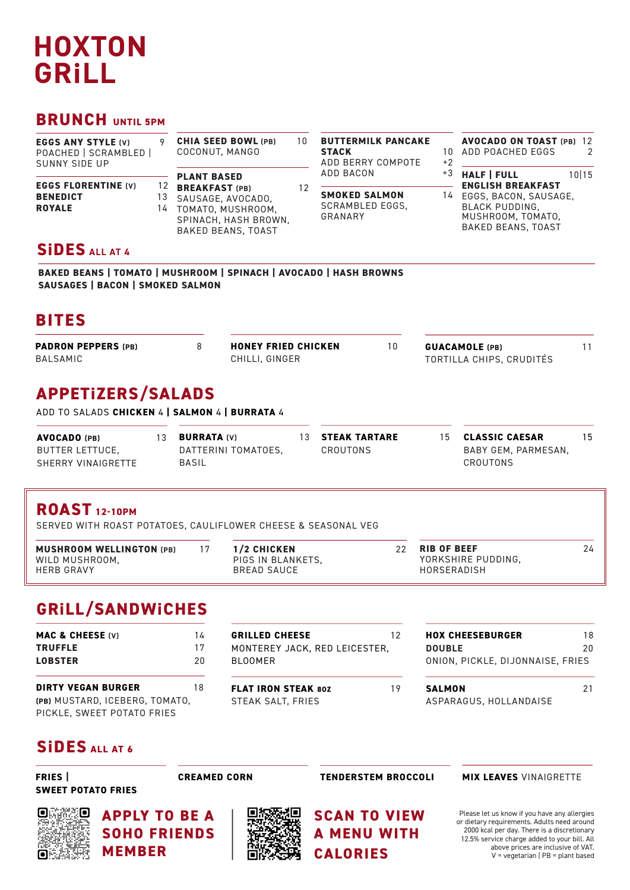# **HOXTON** GRILL

### **BRUNCH UNTIL 5PM**

| <b>EGGS ANY STYLE (V)</b><br>POACHED   SCRAMBLED  <br>SUNNY SIDE UP |                | <b>CHIA SEED BOWL (PB)</b><br>COCONUT, MANGO                                                                         | 10 | <b>BUTTERMILK PANCAKE</b><br><b>STACK</b><br>ADD BERRY COMPOTE | 1 N<br>+2 | <b>AVOCADO ON TOAST (PB) 12</b><br>ADD POACHED EGGS<br>2                                         |  |  |
|---------------------------------------------------------------------|----------------|----------------------------------------------------------------------------------------------------------------------|----|----------------------------------------------------------------|-----------|--------------------------------------------------------------------------------------------------|--|--|
|                                                                     |                | <b>PLANT BASED</b>                                                                                                   |    | ADD BACON                                                      | +3        | <b>HALF   FULL</b><br>10 15<br><b>ENGLISH BREAKFAST</b>                                          |  |  |
| <b>EGGS FLORENTINE (V)</b><br><b>BENEDICT</b><br><b>ROYALE</b>      | 12<br>13<br>14 | <b>BREAKFAST (PB)</b><br>SAUSAGE, AVOCADO.<br>TOMATO, MUSHROOM.<br>SPINACH, HASH BROWN,<br><b>BAKED BEANS, TOAST</b> | 12 | <b>SMOKED SALMON</b><br>SCRAMBLED EGGS.<br>GRANARY             | 14        | EGGS, BACON, SAUSAGE,<br><b>BLACK PUDDING.</b><br>MUSHROOM, TOMATO,<br><b>BAKED BEANS, TOAST</b> |  |  |
| <b>SIDES</b> ALL AT A                                               |                |                                                                                                                      |    |                                                                |           |                                                                                                  |  |  |

### **SiDES ALL AT 4**

**BAKED BEANS | TOMATO | MUSHROOM | SPINACH | AVOCADO | HASH BROWNS SAUSAGES | BACON | SMOKED SALMON**

### **BITES**

| <b>PADRON PEPPERS (PB)</b> | <b>HONEY FRIED CHICKEN</b> | <b>GUACAMOLE</b> (PB)    |  |
|----------------------------|----------------------------|--------------------------|--|
| BALSAMIC                   | CHILLI, GINGER             | TORTILLA CHIPS. CRUDITÉS |  |

### **APPETiZERS/SALADS**

ADD TO SALADS **CHICKEN** 4 **| SALMON** 4 **| BURRATA** 4

| <b>AVOCADO</b> (PB) | <b>BURRATA (V)</b>  | 13 STEAK TARTARE | 15. | <b>CLASSIC CAESAR</b> |  |
|---------------------|---------------------|------------------|-----|-----------------------|--|
| BUTTER LETTUCE,     | DATTERINI TOMATOES. | CROUTONS         |     | BABY GEM, PARMESAN,   |  |
| SHERRY VINAIGRETTE  | BASIL               |                  |     | CROUTONS              |  |

### **ROAST 12-10PM**

SERVED WITH ROAST POTATOES, CAULIFLOWER CHEESE & SEASONAL VEG

| <b>MUSHROOM WELLINGTON (PB)</b>     | 1/2 CHICKEN                      | 22. | <b>RIB OF BEEF</b>                |  |
|-------------------------------------|----------------------------------|-----|-----------------------------------|--|
| WILD MUSHROOM,<br><b>HERB GRAVY</b> | PIGS IN BLANKETS.<br>BREAD SAUCE |     | YORKSHIRE PUDDING,<br>HORSERADISH |  |

### **GRiLL/SANDWiCHES**

| <b>MAC &amp; CHEESE (V)</b><br><b>TRUFFLE</b><br><b>LOBSTER</b>                           | 14<br>17<br>20 | <b>GRILLED CHEESE</b><br>MONTEREY JACK, RED LEICESTER,<br><b>BLOOMER</b> | 12 | <b>HOX CHEESEBURGER</b><br><b>DOUBLE</b><br>ONION, PICKLE, DIJONNAISE, FRIES | 18<br>20 |
|-------------------------------------------------------------------------------------------|----------------|--------------------------------------------------------------------------|----|------------------------------------------------------------------------------|----------|
| <b>DIRTY VEGAN BURGER</b><br>(PB) MUSTARD, ICEBERG, TOMATO,<br>PICKLE, SWEET POTATO FRIES | 18             | <b>FLAT IRON STEAK 80Z</b><br>STEAK SALT, FRIES                          | 19 | <b>SALMON</b><br>ASPARAGUS, HOLLANDAISE                                      | 21       |

### **SiDES ALL AT 6**

**FRIES | SWEET POTATO FRIES**

**CREAMED CORN** 

**SCAN TO VIEW A MENU WITH**

**CALORIES**

### **TENDERSTEM BROCCOLI MIX LEAVES** VINAIGRETTE

Please let us know if you have any allergies or dietary requirements. Adults need around 2000 kcal per day. There is a discretionary 12.5% service charge added to your bill. All above prices are inclusive of VAT. V = vegetarian | PB = plant based



**APPLY TO BE A SOHO FRIENDS MEMBER**